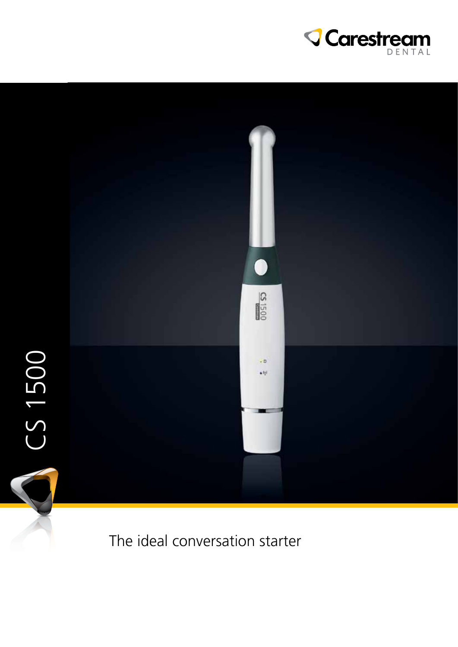



The ideal conversation starter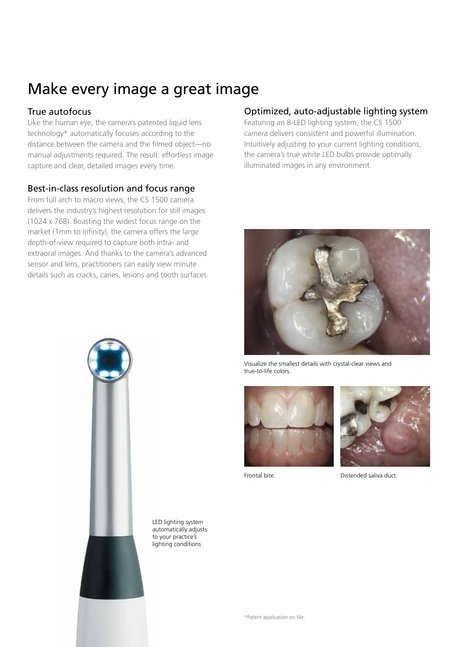## Make every image a great image

### True autofocus

Like the human eye, the camera's patented liquid lens technology\* automatically focuses according to the distance between the camera and the filmed object—no manual adjustments required. The result: effortless image capture and clear, detailed images every time.

### Best-in-class resolution and focus range

From full arch to macro views, the CS 1500 camera delivers the industry's highest resolution for still images (1024 x 768). Boasting the widest focus range on the market (1mm to infinity), the camera offers the large depth-of-view required to capture both intra- and extraoral images. And thanks to the camera's advanced sensor and lens, practitioners can easily view minute details such as cracks, caries, lesions and tooth surfaces.

### Optimized, auto-adjustable lighting system

Featuring an 8-LED lighting system, the CS 1500 camera delivers consistent and powerful illumination. Intuitively adjusting to your current lighting conditions, the camera's true white LED bulbs provide optimally illuminated images in any environment.



Visualize the smallest details with crystal-clear views and true-to-life colors.





Frontal bite. Distended saliva duct.



LED lighting system automatically adjusts to your practice's lighting conditions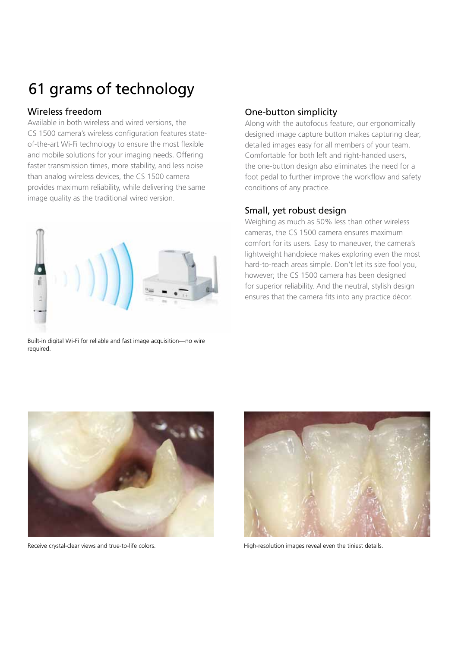# 61 grams of technology

### Wireless freedom

Available in both wireless and wired versions, the CS 1500 camera's wireless configuration features stateof-the-art Wi-Fi technology to ensure the most flexible and mobile solutions for your imaging needs. Offering faster transmission times, more stability, and less noise than analog wireless devices, the CS 1500 camera provides maximum reliability, while delivering the same image quality as the traditional wired version.



Built-in digital Wi-Fi for reliable and fast image acquisition—no wire required.

## One-button simplicity

Along with the autofocus feature, our ergonomically designed image capture button makes capturing clear, detailed images easy for all members of your team. Comfortable for both left and right-handed users, the one-button design also eliminates the need for a foot pedal to further improve the workflow and safety conditions of any practice.

#### Small, yet robust design

Weighing as much as 50% less than other wireless cameras, the CS 1500 camera ensures maximum comfort for its users. Easy to maneuver, the camera's lightweight handpiece makes exploring even the most hard-to-reach areas simple. Don't let its size fool you, however; the CS 1500 camera has been designed for superior reliability. And the neutral, stylish design ensures that the camera fits into any practice décor.





Receive crystal-clear views and true-to-life colors. The state of the timing High-resolution images reveal even the tiniest details.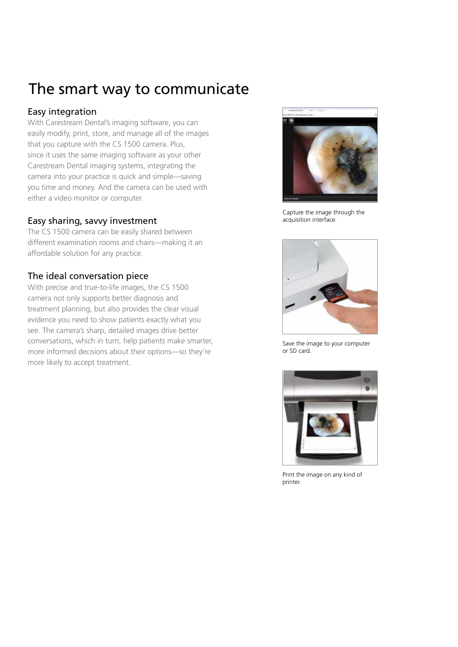## The smart way to communicate

### Easy integration

With Carestream Dental's imaging software, you can easily modify, print, store, and manage all of the images that you capture with the CS 1500 camera. Plus, since it uses the same imaging software as your other Carestream Dental imaging systems, integrating the camera into your practice is quick and simple—saving you time and money. And the camera can be used with either a video monitor or computer.

### Easy sharing, savvy investment

The CS 1500 camera can be easily shared between different examination rooms and chairs—making it an affordable solution for any practice.

### The ideal conversation piece

With precise and true-to-life images, the CS 1500 camera not only supports better diagnosis and treatment planning, but also provides the clear visual evidence you need to show patients exactly what you see. The camera's sharp, detailed images drive better conversations, which in turn, help patients make smarter, more informed decisions about their options—so they're more likely to accept treatment.



Capture the image through the acquisition interface.



Save the image to your computer or SD card.



Print the image on any kind of printer.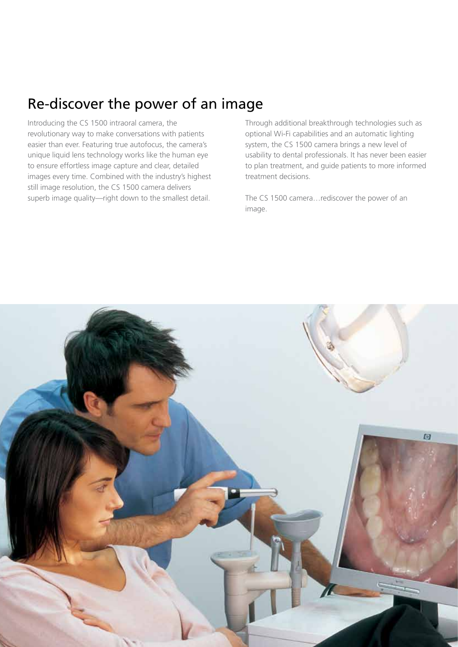## Re-discover the power of an image

Introducing the CS 1500 intraoral camera, the revolutionary way to make conversations with patients easier than ever. Featuring true autofocus, the camera's unique liquid lens technology works like the human eye to ensure effortless image capture and clear, detailed images every time. Combined with the industry's highest still image resolution, the CS 1500 camera delivers superb image quality—right down to the smallest detail.

Through additional breakthrough technologies such as optional Wi-Fi capabilities and an automatic lighting system, the CS 1500 camera brings a new level of usability to dental professionals. It has never been easier to plan treatment, and guide patients to more informed treatment decisions.

The CS 1500 camera…rediscover the power of an image.